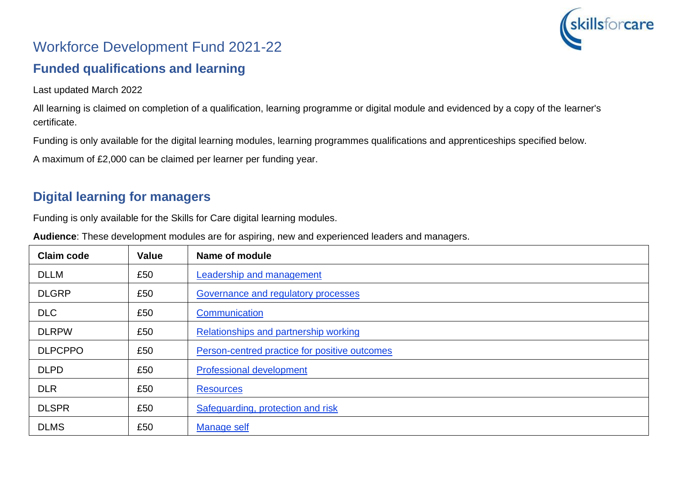

# Workforce Development Fund 2021-22

### **Funded qualifications and learning**

Last updated March 2022

All learning is claimed on completion of a qualification, learning programme or digital module and evidenced by a copy of the learner's certificate.

Funding is only available for the digital learning modules, learning programmes qualifications and apprenticeships specified below.

A maximum of £2,000 can be claimed per learner per funding year.

### **Digital learning for managers**

Funding is only available for the Skills for Care digital learning modules.

**Audience**: These development modules are for aspiring, new and experienced leaders and managers.

| <b>Claim code</b> | <b>Value</b> | Name of module                                |
|-------------------|--------------|-----------------------------------------------|
| <b>DLLM</b>       | £50          | <b>Leadership and management</b>              |
| <b>DLGRP</b>      | £50          | Governance and regulatory processes           |
| <b>DLC</b>        | £50          | Communication                                 |
| <b>DLRPW</b>      | £50          | Relationships and partnership working         |
| <b>DLPCPPO</b>    | £50          | Person-centred practice for positive outcomes |
| <b>DLPD</b>       | £50          | <b>Professional development</b>               |
| <b>DLR</b>        | £50          | <b>Resources</b>                              |
| <b>DLSPR</b>      | £50          | Safeguarding, protection and risk             |
| <b>DLMS</b>       | £50          | <b>Manage self</b>                            |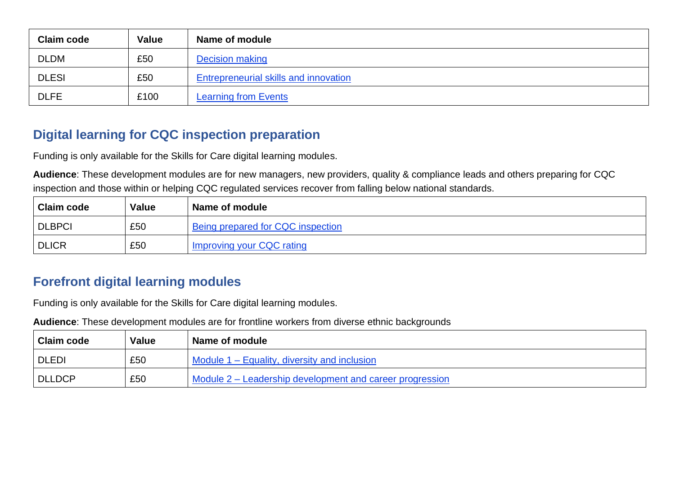| <b>Claim code</b> | <b>Value</b> | Name of module                               |
|-------------------|--------------|----------------------------------------------|
| <b>DLDM</b>       | £50          | Decision making                              |
| <b>DLESI</b>      | £50          | <b>Entrepreneurial skills and innovation</b> |
| <b>DLFE</b>       | £100         | <b>Learning from Events</b>                  |

### **Digital learning for CQC inspection preparation**

Funding is only available for the Skills for Care digital learning modules.

**Audience**: These development modules are for new managers, new providers, quality & compliance leads and others preparing for CQC inspection and those within or helping CQC regulated services recover from falling below national standards.

| <b>Claim code</b> | Value | Name of module                    |
|-------------------|-------|-----------------------------------|
| <b>DLBPCI</b>     | £50   | Being prepared for CQC inspection |
| <b>DLICR</b>      | £50   | Improving your CQC rating         |

#### **Forefront digital learning modules**

Funding is only available for the Skills for Care digital learning modules.

**Audience**: These development modules are for frontline workers from diverse ethnic backgrounds

| <b>Claim code</b> | <b>Value</b> | Name of module                                           |
|-------------------|--------------|----------------------------------------------------------|
| l DLEDI           | £50          | Module 1 – Equality, diversity and inclusion             |
| DLLDCP            | £50          | Module 2 – Leadership development and career progression |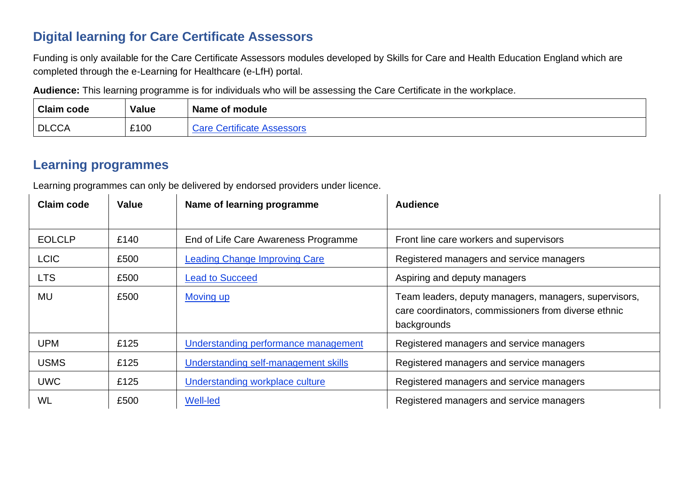### **Digital learning for Care Certificate Assessors**

Funding is only available for the Care Certificate Assessors modules developed by Skills for Care and Health Education England which are completed through the e-Learning for Healthcare (e-LfH) portal.

**Audience:** This learning programme is for individuals who will be assessing the Care Certificate in the workplace.

| <b>Claim code</b> | Value | Name of module                      |
|-------------------|-------|-------------------------------------|
| <b>DLCCA</b>      | £100  | $\sim$ ctitionto<br>are:<br>າວຕວວບເ |

### **Learning programmes**

Learning programmes can only be delivered by endorsed providers under licence.

| <b>Claim code</b> | Value | Name of learning programme             | <b>Audience</b>                                                                                                              |  |  |
|-------------------|-------|----------------------------------------|------------------------------------------------------------------------------------------------------------------------------|--|--|
|                   |       |                                        |                                                                                                                              |  |  |
| <b>EOLCLP</b>     | £140  | End of Life Care Awareness Programme   | Front line care workers and supervisors                                                                                      |  |  |
| <b>LCIC</b>       | £500  | <b>Leading Change Improving Care</b>   | Registered managers and service managers                                                                                     |  |  |
| <b>LTS</b>        | £500  | <b>Lead to Succeed</b>                 | Aspiring and deputy managers                                                                                                 |  |  |
| MU                | £500  | Moving up                              | Team leaders, deputy managers, managers, supervisors,<br>care coordinators, commissioners from diverse ethnic<br>backgrounds |  |  |
| <b>UPM</b>        | £125  | Understanding performance management   | Registered managers and service managers                                                                                     |  |  |
| <b>USMS</b>       | £125  | Understanding self-management skills   | Registered managers and service managers                                                                                     |  |  |
| <b>UWC</b>        | £125  | <b>Understanding workplace culture</b> | Registered managers and service managers                                                                                     |  |  |
| WL                | £500  | <b>Well-led</b>                        | Registered managers and service managers                                                                                     |  |  |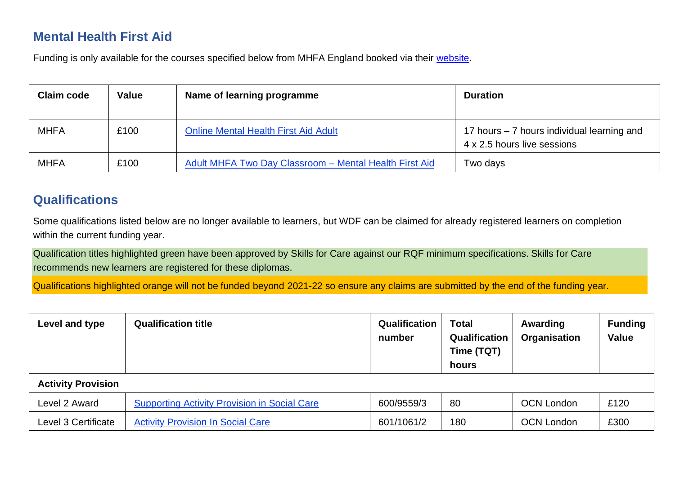### **Mental Health First Aid**

Funding is only available for the courses specified below from MHFA England booked via their [website.](https://mhfaengland.org/)

| <b>Claim code</b> | Value | Name of learning programme                             | <b>Duration</b>                                                           |
|-------------------|-------|--------------------------------------------------------|---------------------------------------------------------------------------|
| <b>MHFA</b>       | £100  | <b>Online Mental Health First Aid Adult</b>            | 17 hours – 7 hours individual learning and<br>4 x 2.5 hours live sessions |
| <b>MHFA</b>       | £100  | Adult MHFA Two Day Classroom - Mental Health First Aid | Two days                                                                  |

#### **Qualifications**

Some qualifications listed below are no longer available to learners, but WDF can be claimed for already registered learners on completion within the current funding year.

Qualification titles highlighted green have been approved by Skills for Care against our RQF minimum specifications. Skills for Care recommends new learners are registered for these diplomas.

Qualifications highlighted orange will not be funded beyond 2021-22 so ensure any claims are submitted by the end of the funding year.

| Level and type            | <b>Qualification title</b>                          | Qualification<br>number | <b>Total</b><br>Qualification<br>Time (TQT)<br>hours | Awarding<br>Organisation | <b>Funding</b><br><b>Value</b> |
|---------------------------|-----------------------------------------------------|-------------------------|------------------------------------------------------|--------------------------|--------------------------------|
| <b>Activity Provision</b> |                                                     |                         |                                                      |                          |                                |
| Level 2 Award             | <b>Supporting Activity Provision in Social Care</b> | 600/9559/3              | 80                                                   | <b>OCN London</b>        | £120                           |
| Level 3 Certificate       | <b>Activity Provision In Social Care</b>            | 601/1061/2              | 180                                                  | <b>OCN London</b>        | £300                           |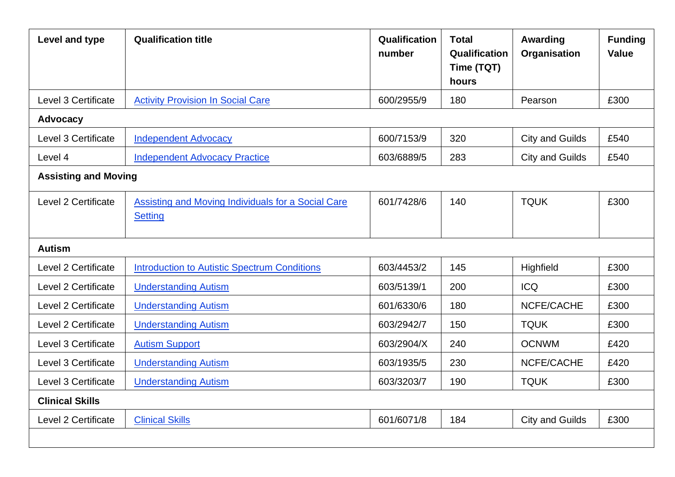| Level and type              | <b>Qualification title</b>                                           | Qualification<br>number | <b>Total</b><br>Qualification<br>Time (TQT)<br>hours | Awarding<br>Organisation | <b>Funding</b><br><b>Value</b> |
|-----------------------------|----------------------------------------------------------------------|-------------------------|------------------------------------------------------|--------------------------|--------------------------------|
| Level 3 Certificate         | <b>Activity Provision In Social Care</b>                             | 600/2955/9              | 180                                                  | Pearson                  | £300                           |
| <b>Advocacy</b>             |                                                                      |                         |                                                      |                          |                                |
| Level 3 Certificate         | <b>Independent Advocacy</b>                                          | 600/7153/9              | 320                                                  | <b>City and Guilds</b>   | £540                           |
| Level 4                     | <b>Independent Advocacy Practice</b>                                 | 603/6889/5              | 283                                                  | <b>City and Guilds</b>   | £540                           |
| <b>Assisting and Moving</b> |                                                                      |                         |                                                      |                          |                                |
| Level 2 Certificate         | Assisting and Moving Individuals for a Social Care<br><b>Setting</b> | 601/7428/6              | 140                                                  | <b>TQUK</b>              | £300                           |
| <b>Autism</b>               |                                                                      |                         |                                                      |                          |                                |
| Level 2 Certificate         | <b>Introduction to Autistic Spectrum Conditions</b>                  | 603/4453/2              | 145                                                  | Highfield                | £300                           |
| Level 2 Certificate         | <b>Understanding Autism</b>                                          | 603/5139/1              | 200                                                  | <b>ICQ</b>               | £300                           |
| Level 2 Certificate         | <b>Understanding Autism</b>                                          | 601/6330/6              | 180                                                  | NCFE/CACHE               | £300                           |
| Level 2 Certificate         | <b>Understanding Autism</b>                                          | 603/2942/7              | 150                                                  | <b>TQUK</b>              | £300                           |
| Level 3 Certificate         | <b>Autism Support</b>                                                | 603/2904/X              | 240                                                  | <b>OCNWM</b>             | £420                           |
| Level 3 Certificate         | <b>Understanding Autism</b>                                          | 603/1935/5              | 230                                                  | NCFE/CACHE               | £420                           |
| Level 3 Certificate         | <b>Understanding Autism</b>                                          | 603/3203/7              | 190                                                  | <b>TQUK</b>              | £300                           |
| <b>Clinical Skills</b>      |                                                                      |                         |                                                      |                          |                                |
| Level 2 Certificate         | <b>Clinical Skills</b>                                               | 601/6071/8              | 184                                                  | <b>City and Guilds</b>   | £300                           |
|                             |                                                                      |                         |                                                      |                          |                                |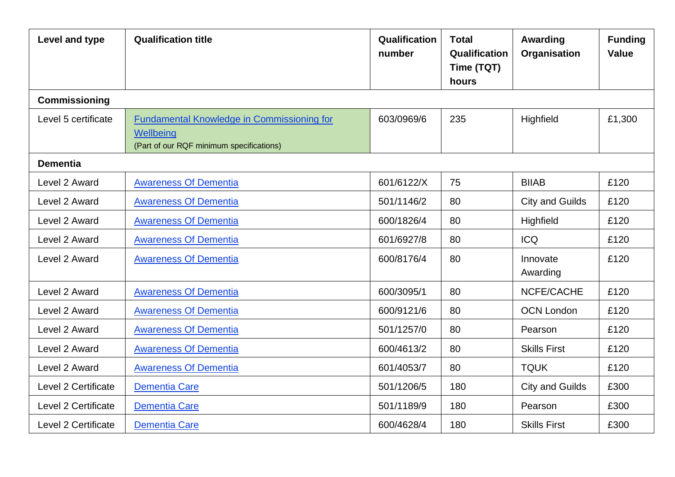| Level and type      | <b>Qualification title</b>                                                                                 | Qualification<br>number | <b>Total</b><br>Qualification<br>Time (TQT)<br>hours | Awarding<br>Organisation | <b>Funding</b><br><b>Value</b> |
|---------------------|------------------------------------------------------------------------------------------------------------|-------------------------|------------------------------------------------------|--------------------------|--------------------------------|
| Commissioning       |                                                                                                            |                         |                                                      |                          |                                |
| Level 5 certificate | <b>Fundamental Knowledge in Commissioning for</b><br>Wellbeing<br>(Part of our RQF minimum specifications) | 603/0969/6              | 235                                                  | Highfield                | £1,300                         |
| <b>Dementia</b>     |                                                                                                            |                         |                                                      |                          |                                |
| Level 2 Award       | <b>Awareness Of Dementia</b>                                                                               | 601/6122/X              | 75                                                   | <b>BIIAB</b>             | £120                           |
| Level 2 Award       | <b>Awareness Of Dementia</b>                                                                               | 501/1146/2              | 80                                                   | <b>City and Guilds</b>   | £120                           |
| Level 2 Award       | <b>Awareness Of Dementia</b>                                                                               | 600/1826/4              | 80                                                   | Highfield                | £120                           |
| Level 2 Award       | <b>Awareness Of Dementia</b>                                                                               | 601/6927/8              | 80                                                   | <b>ICQ</b>               | £120                           |
| Level 2 Award       | <b>Awareness Of Dementia</b>                                                                               | 600/8176/4              | 80                                                   | Innovate<br>Awarding     | £120                           |
| Level 2 Award       | <b>Awareness Of Dementia</b>                                                                               | 600/3095/1              | 80                                                   | NCFE/CACHE               | £120                           |
| Level 2 Award       | <b>Awareness Of Dementia</b>                                                                               | 600/9121/6              | 80                                                   | <b>OCN London</b>        | £120                           |
| Level 2 Award       | <b>Awareness Of Dementia</b>                                                                               | 501/1257/0              | 80                                                   | Pearson                  | £120                           |
| Level 2 Award       | <b>Awareness Of Dementia</b>                                                                               | 600/4613/2              | 80                                                   | <b>Skills First</b>      | £120                           |
| Level 2 Award       | <b>Awareness Of Dementia</b>                                                                               | 601/4053/7              | 80                                                   | <b>TQUK</b>              | £120                           |
| Level 2 Certificate | Dementia Care                                                                                              | 501/1206/5              | 180                                                  | <b>City and Guilds</b>   | £300                           |
| Level 2 Certificate | Dementia Care                                                                                              | 501/1189/9              | 180                                                  | Pearson                  | £300                           |
| Level 2 Certificate | Dementia Care                                                                                              | 600/4628/4              | 180                                                  | <b>Skills First</b>      | £300                           |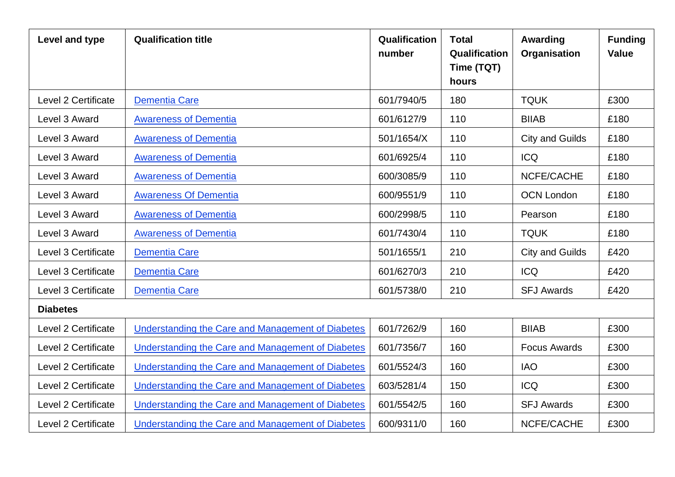| Level and type      | <b>Qualification title</b>                        | Qualification<br>number | <b>Total</b><br>Qualification<br>Time (TQT)<br>hours | Awarding<br>Organisation | <b>Funding</b><br><b>Value</b> |
|---------------------|---------------------------------------------------|-------------------------|------------------------------------------------------|--------------------------|--------------------------------|
| Level 2 Certificate | <b>Dementia Care</b>                              | 601/7940/5              | 180                                                  | <b>TQUK</b>              | £300                           |
| Level 3 Award       | <b>Awareness of Dementia</b>                      | 601/6127/9              | 110                                                  | <b>BIIAB</b>             | £180                           |
| Level 3 Award       | <b>Awareness of Dementia</b>                      | 501/1654/X              | 110                                                  | <b>City and Guilds</b>   | £180                           |
| Level 3 Award       | <b>Awareness of Dementia</b>                      | 601/6925/4              | 110                                                  | <b>ICQ</b>               | £180                           |
| Level 3 Award       | <b>Awareness of Dementia</b>                      | 600/3085/9              | 110                                                  | NCFE/CACHE               | £180                           |
| Level 3 Award       | <b>Awareness Of Dementia</b>                      | 600/9551/9              | 110                                                  | <b>OCN London</b>        | £180                           |
| Level 3 Award       | <b>Awareness of Dementia</b>                      | 600/2998/5              | 110                                                  | Pearson                  | £180                           |
| Level 3 Award       | <b>Awareness of Dementia</b>                      | 601/7430/4              | 110                                                  | <b>TQUK</b>              | £180                           |
| Level 3 Certificate | Dementia Care                                     | 501/1655/1              | 210                                                  | <b>City and Guilds</b>   | £420                           |
| Level 3 Certificate | <b>Dementia Care</b>                              | 601/6270/3              | 210                                                  | <b>ICQ</b>               | £420                           |
| Level 3 Certificate | Dementia Care                                     | 601/5738/0              | 210                                                  | <b>SFJ Awards</b>        | £420                           |
| <b>Diabetes</b>     |                                                   |                         |                                                      |                          |                                |
| Level 2 Certificate | Understanding the Care and Management of Diabetes | 601/7262/9              | 160                                                  | <b>BIIAB</b>             | £300                           |
| Level 2 Certificate | Understanding the Care and Management of Diabetes | 601/7356/7              | 160                                                  | <b>Focus Awards</b>      | £300                           |
| Level 2 Certificate | Understanding the Care and Management of Diabetes | 601/5524/3              | 160                                                  | <b>IAO</b>               | £300                           |
| Level 2 Certificate | Understanding the Care and Management of Diabetes | 603/5281/4              | 150                                                  | <b>ICQ</b>               | £300                           |
| Level 2 Certificate | Understanding the Care and Management of Diabetes | 601/5542/5              | 160                                                  | <b>SFJ Awards</b>        | £300                           |
| Level 2 Certificate | Understanding the Care and Management of Diabetes | 600/9311/0              | 160                                                  | NCFE/CACHE               | £300                           |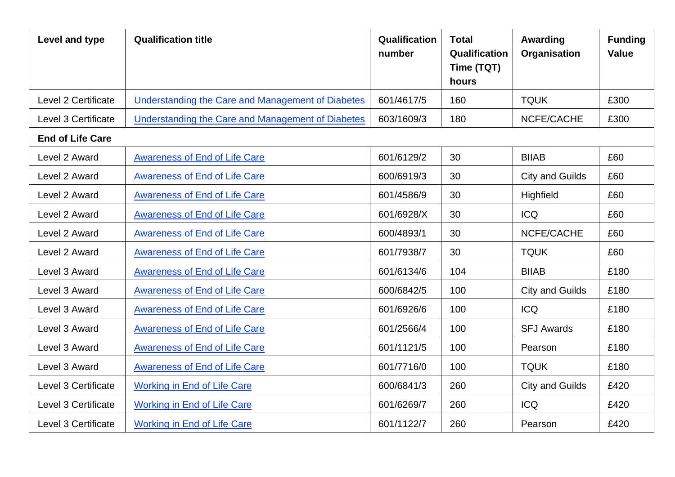| Level and type          | <b>Qualification title</b>                        | <b>Qualification</b><br>number | <b>Total</b><br>Qualification<br>Time (TQT)<br>hours | Awarding<br>Organisation | <b>Funding</b><br><b>Value</b> |
|-------------------------|---------------------------------------------------|--------------------------------|------------------------------------------------------|--------------------------|--------------------------------|
| Level 2 Certificate     | Understanding the Care and Management of Diabetes | 601/4617/5                     | 160                                                  | <b>TQUK</b>              | £300                           |
| Level 3 Certificate     | Understanding the Care and Management of Diabetes | 603/1609/3                     | 180                                                  | NCFE/CACHE               | £300                           |
| <b>End of Life Care</b> |                                                   |                                |                                                      |                          |                                |
| Level 2 Award           | <b>Awareness of End of Life Care</b>              | 601/6129/2                     | 30                                                   | <b>BIIAB</b>             | £60                            |
| Level 2 Award           | <b>Awareness of End of Life Care</b>              | 600/6919/3                     | 30                                                   | <b>City and Guilds</b>   | £60                            |
| Level 2 Award           | <b>Awareness of End of Life Care</b>              | 601/4586/9                     | 30                                                   | Highfield                | £60                            |
| Level 2 Award           | <b>Awareness of End of Life Care</b>              | 601/6928/X                     | 30                                                   | <b>ICQ</b>               | £60                            |
| Level 2 Award           | <b>Awareness of End of Life Care</b>              | 600/4893/1                     | 30                                                   | NCFE/CACHE               | £60                            |
| Level 2 Award           | <b>Awareness of End of Life Care</b>              | 601/7938/7                     | 30                                                   | <b>TQUK</b>              | £60                            |
| Level 3 Award           | Awareness of End of Life Care                     | 601/6134/6                     | 104                                                  | <b>BIIAB</b>             | £180                           |
| Level 3 Award           | <b>Awareness of End of Life Care</b>              | 600/6842/5                     | 100                                                  | <b>City and Guilds</b>   | £180                           |
| Level 3 Award           | <b>Awareness of End of Life Care</b>              | 601/6926/6                     | 100                                                  | <b>ICQ</b>               | £180                           |
| Level 3 Award           | <b>Awareness of End of Life Care</b>              | 601/2566/4                     | 100                                                  | <b>SFJ Awards</b>        | £180                           |
| Level 3 Award           | <b>Awareness of End of Life Care</b>              | 601/1121/5                     | 100                                                  | Pearson                  | £180                           |
| Level 3 Award           | <b>Awareness of End of Life Care</b>              | 601/7716/0                     | 100                                                  | <b>TQUK</b>              | £180                           |
| Level 3 Certificate     | <b>Working in End of Life Care</b>                | 600/6841/3                     | 260                                                  | <b>City and Guilds</b>   | £420                           |
| Level 3 Certificate     | <b>Working in End of Life Care</b>                | 601/6269/7                     | 260                                                  | <b>ICQ</b>               | £420                           |
| Level 3 Certificate     | <b>Working in End of Life Care</b>                | 601/1122/7                     | 260                                                  | Pearson                  | £420                           |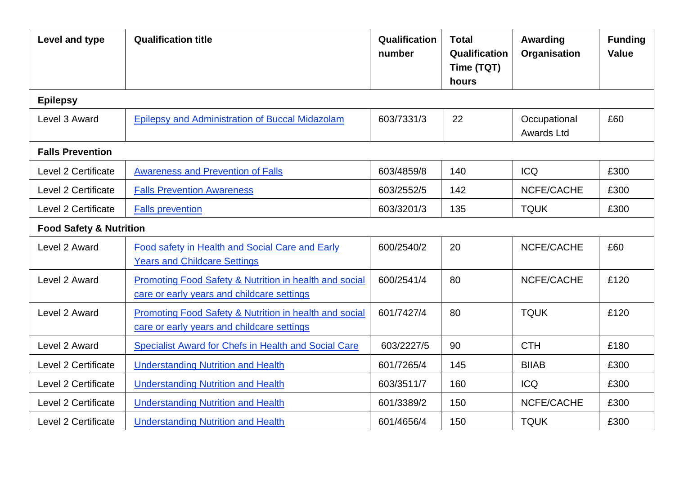| Level and type                     | <b>Qualification title</b>                                                                           | Qualification<br>number | <b>Total</b><br>Qualification<br>Time (TQT)<br>hours | Awarding<br>Organisation   | <b>Funding</b><br><b>Value</b> |
|------------------------------------|------------------------------------------------------------------------------------------------------|-------------------------|------------------------------------------------------|----------------------------|--------------------------------|
| <b>Epilepsy</b>                    |                                                                                                      |                         |                                                      |                            |                                |
| Level 3 Award                      | Epilepsy and Administration of Buccal Midazolam                                                      | 603/7331/3              | 22                                                   | Occupational<br>Awards Ltd | £60                            |
| <b>Falls Prevention</b>            |                                                                                                      |                         |                                                      |                            |                                |
| Level 2 Certificate                | <b>Awareness and Prevention of Falls</b>                                                             | 603/4859/8              | 140                                                  | <b>ICQ</b>                 | £300                           |
| Level 2 Certificate                | <b>Falls Prevention Awareness</b>                                                                    | 603/2552/5              | 142                                                  | NCFE/CACHE                 | £300                           |
| Level 2 Certificate                | <b>Falls prevention</b>                                                                              | 603/3201/3              | <b>TQUK</b><br>135                                   |                            | £300                           |
| <b>Food Safety &amp; Nutrition</b> |                                                                                                      |                         |                                                      |                            |                                |
| Level 2 Award                      | Food safety in Health and Social Care and Early<br><b>Years and Childcare Settings</b>               | 600/2540/2              | 20                                                   | NCFE/CACHE                 | £60                            |
| Level 2 Award                      | Promoting Food Safety & Nutrition in health and social<br>care or early years and childcare settings | 600/2541/4              | 80                                                   | NCFE/CACHE                 | £120                           |
| Level 2 Award                      | Promoting Food Safety & Nutrition in health and social<br>care or early years and childcare settings | 601/7427/4              | 80                                                   | <b>TQUK</b>                | £120                           |
| Level 2 Award                      | Specialist Award for Chefs in Health and Social Care                                                 | 603/2227/5              | 90                                                   | <b>CTH</b>                 | £180                           |
| <b>Level 2 Certificate</b>         | <b>Understanding Nutrition and Health</b>                                                            | 601/7265/4              | 145                                                  | <b>BIIAB</b>               | £300                           |
| Level 2 Certificate                | <b>Understanding Nutrition and Health</b>                                                            | 603/3511/7              | 160                                                  | <b>ICQ</b>                 | £300                           |
| Level 2 Certificate                | <b>Understanding Nutrition and Health</b>                                                            | 601/3389/2              | 150                                                  | NCFE/CACHE                 | £300                           |
| Level 2 Certificate                | <b>Understanding Nutrition and Health</b>                                                            | 601/4656/4              | 150                                                  | <b>TQUK</b>                | £300                           |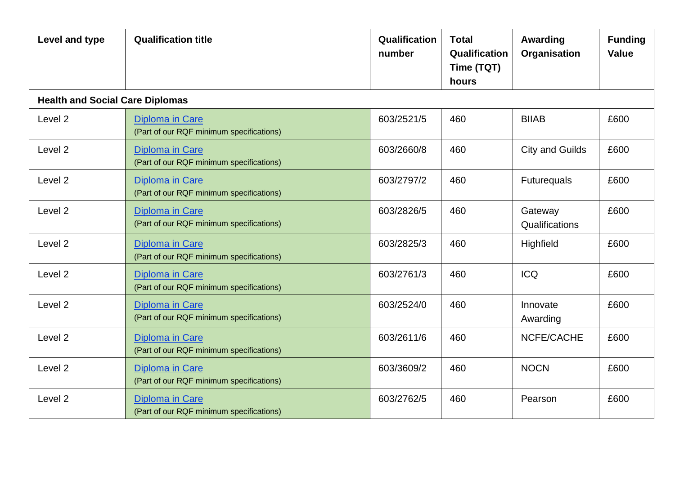| Level and type                         | <b>Qualification title</b>                                         | Qualification<br>number | <b>Total</b><br><b>Qualification</b><br>Time (TQT)<br>hours | Awarding<br>Organisation  | <b>Funding</b><br><b>Value</b> |
|----------------------------------------|--------------------------------------------------------------------|-------------------------|-------------------------------------------------------------|---------------------------|--------------------------------|
| <b>Health and Social Care Diplomas</b> |                                                                    |                         |                                                             |                           |                                |
| Level <sub>2</sub>                     | <b>Diploma in Care</b><br>(Part of our RQF minimum specifications) | 603/2521/5              | 460                                                         | <b>BIIAB</b>              | £600                           |
| Level <sub>2</sub>                     | <b>Diploma in Care</b><br>(Part of our RQF minimum specifications) | 603/2660/8              | 460                                                         | <b>City and Guilds</b>    | £600                           |
| Level <sub>2</sub>                     | Diploma in Care<br>(Part of our RQF minimum specifications)        | 603/2797/2              | 460                                                         | <b>Futurequals</b>        | £600                           |
| Level <sub>2</sub>                     | <b>Diploma in Care</b><br>(Part of our RQF minimum specifications) | 603/2826/5              | 460                                                         | Gateway<br>Qualifications | £600                           |
| Level 2                                | <b>Diploma in Care</b><br>(Part of our RQF minimum specifications) | 603/2825/3              | 460                                                         | Highfield                 | £600                           |
| Level <sub>2</sub>                     | <b>Diploma in Care</b><br>(Part of our RQF minimum specifications) | 603/2761/3              | 460                                                         | <b>ICQ</b>                | £600                           |
| Level <sub>2</sub>                     | <b>Diploma in Care</b><br>(Part of our RQF minimum specifications) | 603/2524/0              | 460                                                         | Innovate<br>Awarding      | £600                           |
| Level <sub>2</sub>                     | <b>Diploma in Care</b><br>(Part of our RQF minimum specifications) | 603/2611/6              | 460                                                         | NCFE/CACHE                | £600                           |
| Level <sub>2</sub>                     | <b>Diploma in Care</b><br>(Part of our RQF minimum specifications) | 603/3609/2              | 460                                                         | <b>NOCN</b>               | £600                           |
| Level <sub>2</sub>                     | <b>Diploma in Care</b><br>(Part of our RQF minimum specifications) | 603/2762/5              | 460                                                         | Pearson                   | £600                           |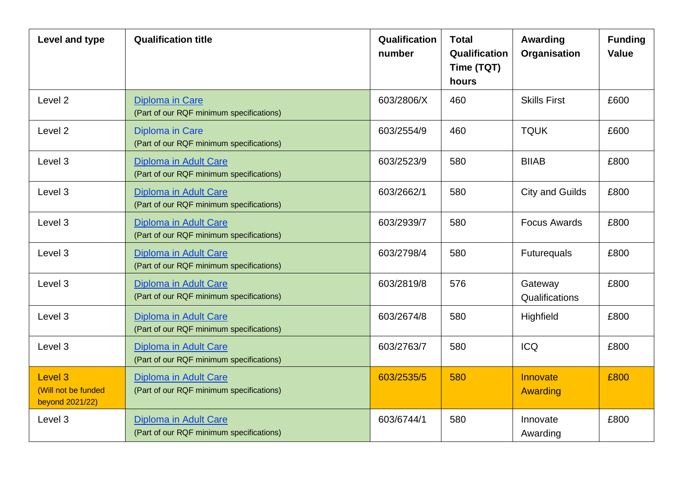| Level and type                                               | <b>Qualification title</b>                                               | Qualification<br>number | <b>Total</b><br>Qualification<br>Time (TQT)<br>hours | Awarding<br>Organisation  | <b>Funding</b><br><b>Value</b> |
|--------------------------------------------------------------|--------------------------------------------------------------------------|-------------------------|------------------------------------------------------|---------------------------|--------------------------------|
| Level <sub>2</sub>                                           | <b>Diploma in Care</b><br>(Part of our RQF minimum specifications)       | 603/2806/X              | 460                                                  | <b>Skills First</b>       | £600                           |
| Level <sub>2</sub>                                           | <b>Diploma in Care</b><br>(Part of our RQF minimum specifications)       | 603/2554/9              | 460                                                  | <b>TQUK</b>               | £600                           |
| Level 3                                                      | Diploma in Adult Care<br>(Part of our RQF minimum specifications)        | 603/2523/9              | 580                                                  | <b>BIIAB</b>              | £800                           |
| Level 3                                                      | Diploma in Adult Care<br>(Part of our RQF minimum specifications)        | 603/2662/1              | <b>City and Guilds</b><br>580                        |                           | £800                           |
| Level 3                                                      | Diploma in Adult Care<br>(Part of our RQF minimum specifications)        | 603/2939/7              | 580                                                  | <b>Focus Awards</b>       | £800                           |
| Level 3                                                      | <b>Diploma in Adult Care</b><br>(Part of our RQF minimum specifications) | 603/2798/4              | 580                                                  | <b>Futurequals</b>        | £800                           |
| Level 3                                                      | <b>Diploma in Adult Care</b><br>(Part of our RQF minimum specifications) | 603/2819/8              | 576                                                  | Gateway<br>Qualifications | £800                           |
| Level 3                                                      | Diploma in Adult Care<br>(Part of our RQF minimum specifications)        | 603/2674/8              | 580                                                  | Highfield                 | £800                           |
| Level 3                                                      | <b>Diploma in Adult Care</b><br>(Part of our RQF minimum specifications) | 603/2763/7              | 580                                                  | <b>ICQ</b>                | £800                           |
| Level <sub>3</sub><br>(Will not be funded<br>beyond 2021/22) | <b>Diploma in Adult Care</b><br>(Part of our RQF minimum specifications) | 603/2535/5              | 580                                                  | Innovate<br>Awarding      | £800                           |
| Level 3                                                      | <b>Diploma in Adult Care</b><br>(Part of our RQF minimum specifications) | 603/6744/1              | 580                                                  | Innovate<br>Awarding      | £800                           |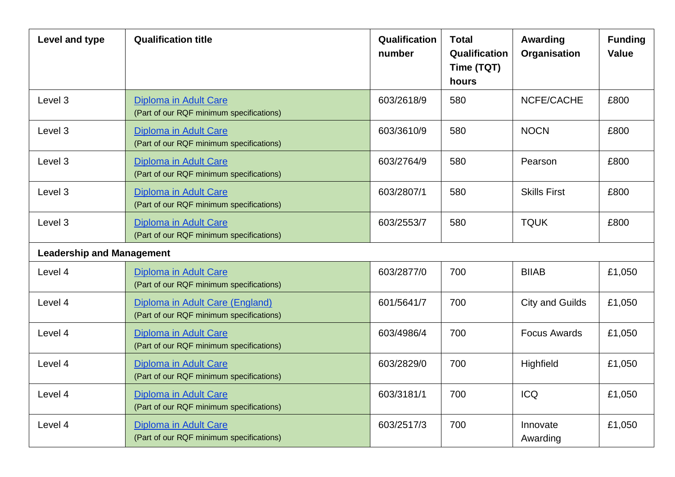| Level and type                   | <b>Qualification title</b>                                                                            | Qualification<br>number                  | <b>Total</b><br>Qualification<br>Time (TQT)<br>hours | Awarding<br>Organisation | <b>Funding</b><br><b>Value</b> |
|----------------------------------|-------------------------------------------------------------------------------------------------------|------------------------------------------|------------------------------------------------------|--------------------------|--------------------------------|
| Level 3                          | Diploma in Adult Care<br>(Part of our RQF minimum specifications)                                     | 603/2618/9                               | 580                                                  | NCFE/CACHE               | £800                           |
| Level 3                          | <b>NOCN</b><br>603/3610/9<br>580<br>Diploma in Adult Care<br>(Part of our RQF minimum specifications) |                                          |                                                      | £800                     |                                |
| Level 3                          | <b>Diploma in Adult Care</b><br>(Part of our RQF minimum specifications)                              | 603/2764/9                               | 580                                                  | Pearson                  | £800                           |
| Level 3                          | Diploma in Adult Care<br>(Part of our RQF minimum specifications)                                     | 580<br>603/2807/1<br><b>Skills First</b> |                                                      |                          | £800                           |
| Level 3                          | <b>Diploma in Adult Care</b><br>(Part of our RQF minimum specifications)                              | 603/2553/7                               | 580                                                  | <b>TQUK</b>              | £800                           |
| <b>Leadership and Management</b> |                                                                                                       |                                          |                                                      |                          |                                |
| Level 4                          | <b>Diploma in Adult Care</b><br>(Part of our RQF minimum specifications)                              | 603/2877/0                               | 700                                                  | <b>BIIAB</b>             | £1,050                         |
| Level 4                          | Diploma in Adult Care (England)<br>(Part of our RQF minimum specifications)                           | 601/5641/7                               | 700                                                  | <b>City and Guilds</b>   | £1,050                         |
| Level 4                          | <b>Diploma in Adult Care</b><br>(Part of our RQF minimum specifications)                              | 603/4986/4                               | 700                                                  | <b>Focus Awards</b>      | £1,050                         |
| Level 4                          | Diploma in Adult Care<br>(Part of our RQF minimum specifications)                                     | 603/2829/0                               | 700                                                  | Highfield                | £1,050                         |
| Level 4                          | Diploma in Adult Care<br>(Part of our RQF minimum specifications)                                     | 603/3181/1                               | 700                                                  | <b>ICQ</b>               | £1,050                         |
| Level 4                          | Diploma in Adult Care<br>(Part of our RQF minimum specifications)                                     | 603/2517/3                               | 700                                                  | Innovate<br>Awarding     | £1,050                         |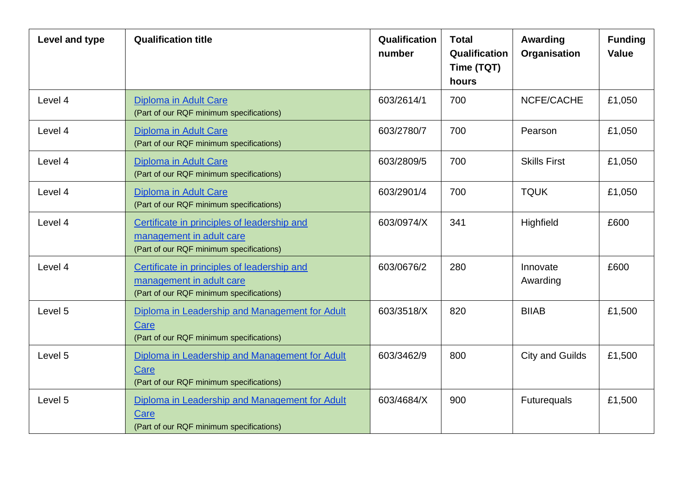| Level and type | <b>Qualification title</b>                                                                                          | Qualification<br>number | <b>Total</b><br>Qualification<br>Time (TQT)<br>hours | Awarding<br>Organisation | <b>Funding</b><br><b>Value</b> |
|----------------|---------------------------------------------------------------------------------------------------------------------|-------------------------|------------------------------------------------------|--------------------------|--------------------------------|
| Level 4        | 603/2614/1<br><b>Diploma in Adult Care</b><br>700<br>(Part of our RQF minimum specifications)                       |                         | NCFE/CACHE                                           | £1,050                   |                                |
| Level 4        | Diploma in Adult Care<br>(Part of our RQF minimum specifications)                                                   | 603/2780/7              | 700                                                  | Pearson                  | £1,050                         |
| Level 4        | Diploma in Adult Care<br>(Part of our RQF minimum specifications)                                                   | 603/2809/5              | 700                                                  | <b>Skills First</b>      | £1,050                         |
| Level 4        | Diploma in Adult Care<br>(Part of our RQF minimum specifications)                                                   | 603/2901/4              | 700                                                  | <b>TQUK</b>              | £1,050                         |
| Level 4        | Certificate in principles of leadership and<br>management in adult care<br>(Part of our RQF minimum specifications) | 603/0974/X              | 341                                                  | Highfield                | £600                           |
| Level 4        | Certificate in principles of leadership and<br>management in adult care<br>(Part of our RQF minimum specifications) | 603/0676/2              | 280                                                  | Innovate<br>Awarding     | £600                           |
| Level 5        | Diploma in Leadership and Management for Adult<br>Care<br>(Part of our RQF minimum specifications)                  | 603/3518/X              | 820                                                  | <b>BIIAB</b>             | £1,500                         |
| Level 5        | Diploma in Leadership and Management for Adult<br>Care<br>(Part of our RQF minimum specifications)                  | 603/3462/9              | 800                                                  | <b>City and Guilds</b>   | £1,500                         |
| Level 5        | Diploma in Leadership and Management for Adult<br>Care<br>(Part of our RQF minimum specifications)                  | 603/4684/X              | 900                                                  | Futurequals              | £1,500                         |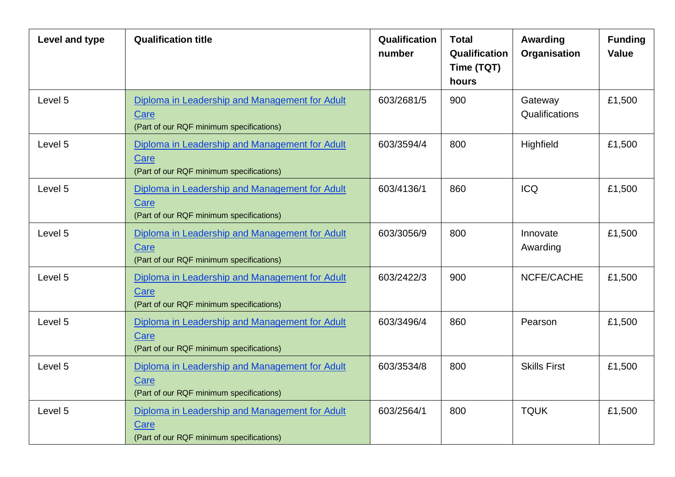| Level and type | <b>Qualification title</b>                                                                         | Qualification<br>number | <b>Total</b><br>Qualification<br>Time (TQT)<br>hours | Awarding<br>Organisation  | <b>Funding</b><br><b>Value</b> |
|----------------|----------------------------------------------------------------------------------------------------|-------------------------|------------------------------------------------------|---------------------------|--------------------------------|
| Level 5        | Diploma in Leadership and Management for Adult<br>Care<br>(Part of our RQF minimum specifications) | 603/2681/5              | 900                                                  | Gateway<br>Qualifications | £1,500                         |
| Level 5        | Diploma in Leadership and Management for Adult<br>Care<br>(Part of our RQF minimum specifications) | 603/3594/4              | 800                                                  | Highfield                 | £1,500                         |
| Level 5        | Diploma in Leadership and Management for Adult<br>Care<br>(Part of our RQF minimum specifications) | 603/4136/1              | 860                                                  | <b>ICQ</b>                | £1,500                         |
| Level 5        | Diploma in Leadership and Management for Adult<br>Care<br>(Part of our RQF minimum specifications) | 603/3056/9              | 800                                                  | Innovate<br>Awarding      | £1,500                         |
| Level 5        | Diploma in Leadership and Management for Adult<br>Care<br>(Part of our RQF minimum specifications) | 603/2422/3              | 900                                                  | NCFE/CACHE                | £1,500                         |
| Level 5        | Diploma in Leadership and Management for Adult<br>Care<br>(Part of our RQF minimum specifications) | 603/3496/4              | 860                                                  | Pearson                   | £1,500                         |
| Level 5        | Diploma in Leadership and Management for Adult<br>Care<br>(Part of our RQF minimum specifications) | 603/3534/8              | 800                                                  | <b>Skills First</b>       | £1,500                         |
| Level 5        | Diploma in Leadership and Management for Adult<br>Care<br>(Part of our RQF minimum specifications) | 603/2564/1              | 800                                                  | <b>TQUK</b>               | £1,500                         |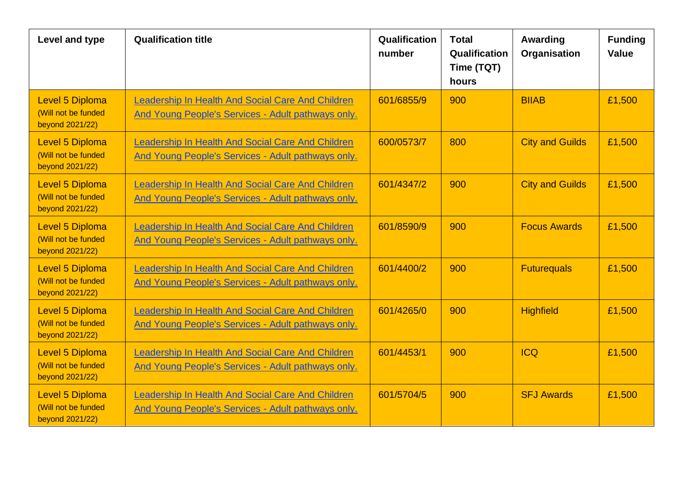| Level and type                                                   | <b>Qualification title</b>                                                                              | Qualification<br>number | <b>Total</b><br>Qualification<br>Time (TQT)<br>hours | Awarding<br>Organisation | <b>Funding</b><br><b>Value</b> |
|------------------------------------------------------------------|---------------------------------------------------------------------------------------------------------|-------------------------|------------------------------------------------------|--------------------------|--------------------------------|
| <b>Level 5 Diploma</b><br>(Will not be funded<br>beyond 2021/22) | Leadership In Health And Social Care And Children<br>And Young People's Services - Adult pathways only. | 601/6855/9              | 900                                                  | <b>BIIAB</b>             | £1,500                         |
| <b>Level 5 Diploma</b><br>(Will not be funded<br>beyond 2021/22) | Leadership In Health And Social Care And Children<br>And Young People's Services - Adult pathways only. | 600/0573/7              | 800                                                  | <b>City and Guilds</b>   | £1,500                         |
| Level 5 Diploma<br>(Will not be funded<br>beyond 2021/22)        | Leadership In Health And Social Care And Children<br>And Young People's Services - Adult pathways only. | 601/4347/2              | 900                                                  | <b>City and Guilds</b>   | £1,500                         |
| <b>Level 5 Diploma</b><br>(Will not be funded<br>beyond 2021/22) | Leadership In Health And Social Care And Children<br>And Young People's Services - Adult pathways only. | 601/8590/9              | 900                                                  | <b>Focus Awards</b>      | £1,500                         |
| <b>Level 5 Diploma</b><br>(Will not be funded<br>beyond 2021/22) | Leadership In Health And Social Care And Children<br>And Young People's Services - Adult pathways only. | 601/4400/2              | 900                                                  | <b>Futurequals</b>       | £1,500                         |
| <b>Level 5 Diploma</b><br>(Will not be funded<br>beyond 2021/22) | Leadership In Health And Social Care And Children<br>And Young People's Services - Adult pathways only. | 601/4265/0              | 900                                                  | <b>Highfield</b>         | £1,500                         |
| <b>Level 5 Diploma</b><br>(Will not be funded<br>beyond 2021/22) | Leadership In Health And Social Care And Children<br>And Young People's Services - Adult pathways only. | 601/4453/1              | 900                                                  | <b>ICQ</b>               | £1,500                         |
| <b>Level 5 Diploma</b><br>(Will not be funded<br>beyond 2021/22) | Leadership In Health And Social Care And Children<br>And Young People's Services - Adult pathways only. | 601/5704/5              | 900                                                  | <b>SFJ Awards</b>        | £1,500                         |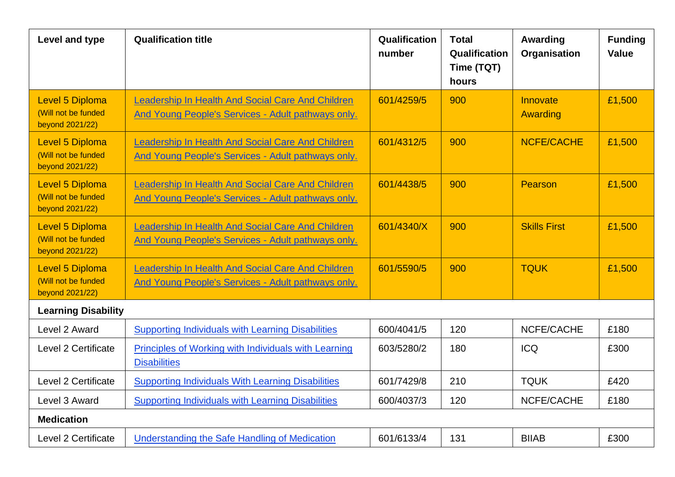| Level and type                                                   | <b>Qualification title</b>                                                                                     | Qualification<br>number | <b>Total</b><br>Qualification<br>Time (TQT)<br>hours | Awarding<br>Organisation | <b>Funding</b><br><b>Value</b> |
|------------------------------------------------------------------|----------------------------------------------------------------------------------------------------------------|-------------------------|------------------------------------------------------|--------------------------|--------------------------------|
| <b>Level 5 Diploma</b><br>(Will not be funded<br>beyond 2021/22) | Leadership In Health And Social Care And Children<br>And Young People's Services - Adult pathways only.        | 601/4259/5              | 900                                                  | Innovate<br>Awarding     | £1,500                         |
| <b>Level 5 Diploma</b><br>(Will not be funded<br>beyond 2021/22) | Leadership In Health And Social Care And Children<br>And Young People's Services - Adult pathways only.        | 601/4312/5              | 900                                                  | <b>NCFE/CACHE</b>        | £1,500                         |
| <b>Level 5 Diploma</b><br>(Will not be funded<br>beyond 2021/22) | Leadership In Health And Social Care And Children<br>And Young People's Services - Adult pathways only.        | 601/4438/5              | 900                                                  | Pearson                  | £1,500                         |
| <b>Level 5 Diploma</b><br>(Will not be funded<br>beyond 2021/22) | eadership In Health And Social Care And Children<br>And Young People's Services - Adult pathways only.         | 601/4340/X              | 900                                                  | <b>Skills First</b>      | £1,500                         |
| <b>Level 5 Diploma</b><br>(Will not be funded<br>beyond 2021/22) | Leadership In Health And Social Care And Children<br><b>And Young People's Services - Adult pathways only.</b> | 601/5590/5              | 900<br><b>TQUK</b>                                   |                          | £1,500                         |
| <b>Learning Disability</b>                                       |                                                                                                                |                         |                                                      |                          |                                |
| Level 2 Award                                                    | <b>Supporting Individuals with Learning Disabilities</b>                                                       | 600/4041/5              | 120                                                  | NCFE/CACHE               | £180                           |
| Level 2 Certificate                                              | <b>Principles of Working with Individuals with Learning</b><br><b>Disabilities</b>                             | 603/5280/2              | 180                                                  | <b>ICQ</b>               | £300                           |
| Level 2 Certificate                                              | <b>Supporting Individuals With Learning Disabilities</b>                                                       | 601/7429/8              | 210                                                  | <b>TQUK</b>              | £420                           |
| Level 3 Award                                                    | <b>Supporting Individuals with Learning Disabilities</b>                                                       | 600/4037/3              | 120                                                  | NCFE/CACHE               | £180                           |
| <b>Medication</b>                                                |                                                                                                                |                         |                                                      |                          |                                |
| Level 2 Certificate                                              | Understanding the Safe Handling of Medication                                                                  | 601/6133/4              | 131                                                  | <b>BIIAB</b>             | £300                           |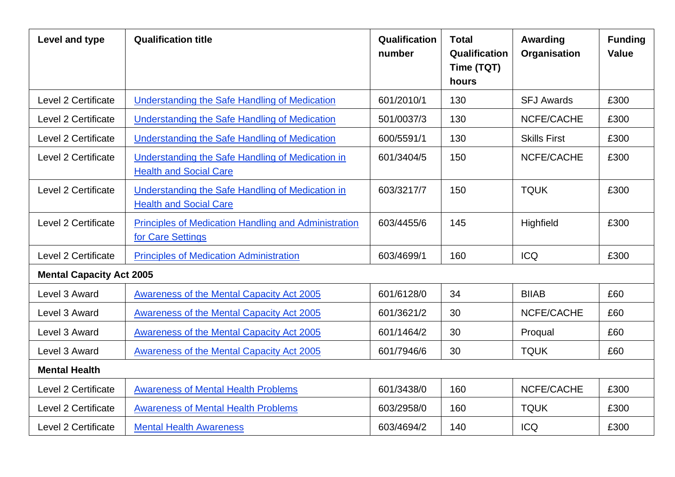| Level and type                  | <b>Qualification title</b>                                                        | Qualification<br>number | <b>Total</b><br>Qualification<br>Time (TQT)<br>hours | Awarding<br>Organisation | <b>Funding</b><br><b>Value</b> |
|---------------------------------|-----------------------------------------------------------------------------------|-------------------------|------------------------------------------------------|--------------------------|--------------------------------|
| Level 2 Certificate             | Understanding the Safe Handling of Medication                                     | 601/2010/1              | 130                                                  | <b>SFJ Awards</b>        | £300                           |
| Level 2 Certificate             | Understanding the Safe Handling of Medication                                     | 501/0037/3              | 130                                                  | NCFE/CACHE               | £300                           |
| Level 2 Certificate             | <b>Understanding the Safe Handling of Medication</b>                              | 600/5591/1              | 130                                                  | <b>Skills First</b>      | £300                           |
| Level 2 Certificate             | Understanding the Safe Handling of Medication in<br><b>Health and Social Care</b> | 601/3404/5<br>150       |                                                      | NCFE/CACHE               | £300                           |
| Level 2 Certificate             | Understanding the Safe Handling of Medication in<br><b>Health and Social Care</b> | 603/3217/7              | 150                                                  | <b>TQUK</b>              | £300                           |
| Level 2 Certificate             | Principles of Medication Handling and Administration<br>for Care Settings         | 603/4455/6              | 145                                                  | Highfield                | £300                           |
| Level 2 Certificate             | <b>Principles of Medication Administration</b>                                    | 603/4699/1              | 160                                                  | <b>ICQ</b>               | £300                           |
| <b>Mental Capacity Act 2005</b> |                                                                                   |                         |                                                      |                          |                                |
| Level 3 Award                   | Awareness of the Mental Capacity Act 2005                                         | 601/6128/0              | 34                                                   | <b>BIIAB</b>             | £60                            |
| Level 3 Award                   | <b>Awareness of the Mental Capacity Act 2005</b>                                  | 601/3621/2              | 30                                                   | NCFE/CACHE               | £60                            |
| Level 3 Award                   | Awareness of the Mental Capacity Act 2005                                         | 601/1464/2              | 30                                                   | Proqual                  | £60                            |
| Level 3 Award                   | Awareness of the Mental Capacity Act 2005                                         | 601/7946/6              | 30                                                   | <b>TQUK</b>              | £60                            |
| <b>Mental Health</b>            |                                                                                   |                         |                                                      |                          |                                |
| Level 2 Certificate             | <b>Awareness of Mental Health Problems</b>                                        | 601/3438/0              | 160                                                  | NCFE/CACHE               | £300                           |
| Level 2 Certificate             | <b>Awareness of Mental Health Problems</b>                                        | 603/2958/0              | 160                                                  | <b>TQUK</b>              | £300                           |
| Level 2 Certificate             | <b>Mental Health Awareness</b>                                                    | 603/4694/2              | 140                                                  | <b>ICQ</b>               | £300                           |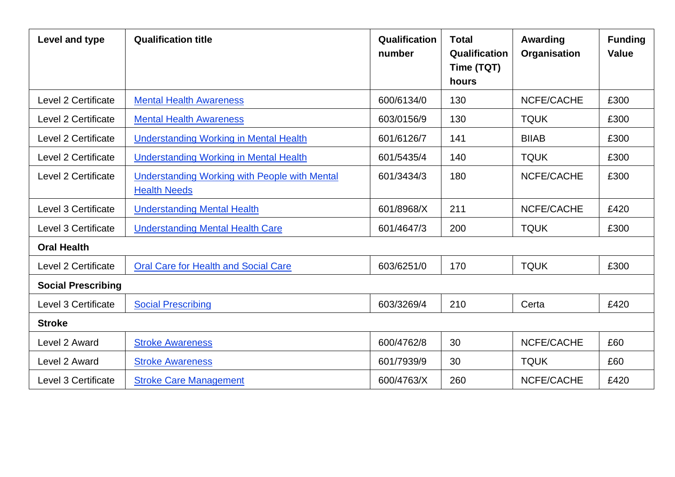| Level and type             | <b>Qualification title</b>                                                  | Qualification<br>number | <b>Total</b><br>Qualification<br>Time (TQT)<br>hours | Awarding<br>Organisation | <b>Funding</b><br><b>Value</b> |
|----------------------------|-----------------------------------------------------------------------------|-------------------------|------------------------------------------------------|--------------------------|--------------------------------|
| <b>Level 2 Certificate</b> | <b>Mental Health Awareness</b>                                              | 600/6134/0              | 130                                                  | NCFE/CACHE               | £300                           |
| <b>Level 2 Certificate</b> | <b>Mental Health Awareness</b>                                              | 603/0156/9              | 130                                                  | <b>TQUK</b>              | £300                           |
| Level 2 Certificate        | <b>Understanding Working in Mental Health</b>                               | 601/6126/7              | 141                                                  | <b>BIIAB</b>             | £300                           |
| Level 2 Certificate        | <b>Understanding Working in Mental Health</b>                               | 601/5435/4              | 140                                                  | <b>TQUK</b>              | £300                           |
| Level 2 Certificate        | <b>Understanding Working with People with Mental</b><br><b>Health Needs</b> | 601/3434/3              | 180                                                  | NCFE/CACHE               | £300                           |
| Level 3 Certificate        | <b>Understanding Mental Health</b>                                          | 601/8968/X              | 211                                                  | NCFE/CACHE               | £420                           |
| Level 3 Certificate        | <b>Understanding Mental Health Care</b>                                     | 601/4647/3              | 200                                                  | <b>TQUK</b>              | £300                           |
| <b>Oral Health</b>         |                                                                             |                         |                                                      |                          |                                |
| Level 2 Certificate        | <b>Oral Care for Health and Social Care</b>                                 | 603/6251/0              | 170                                                  | <b>TQUK</b>              | £300                           |
| <b>Social Prescribing</b>  |                                                                             |                         |                                                      |                          |                                |
| Level 3 Certificate        | <b>Social Prescribing</b>                                                   | 603/3269/4              | 210                                                  | Certa                    | £420                           |
| <b>Stroke</b>              |                                                                             |                         |                                                      |                          |                                |
| Level 2 Award              | <b>Stroke Awareness</b>                                                     | 600/4762/8              | 30                                                   | NCFE/CACHE               | £60                            |
| Level 2 Award              | <b>Stroke Awareness</b>                                                     | 601/7939/9              | 30                                                   | <b>TQUK</b>              | £60                            |
| Level 3 Certificate        | <b>Stroke Care Management</b>                                               | 600/4763/X              | 260                                                  | NCFE/CACHE               | £420                           |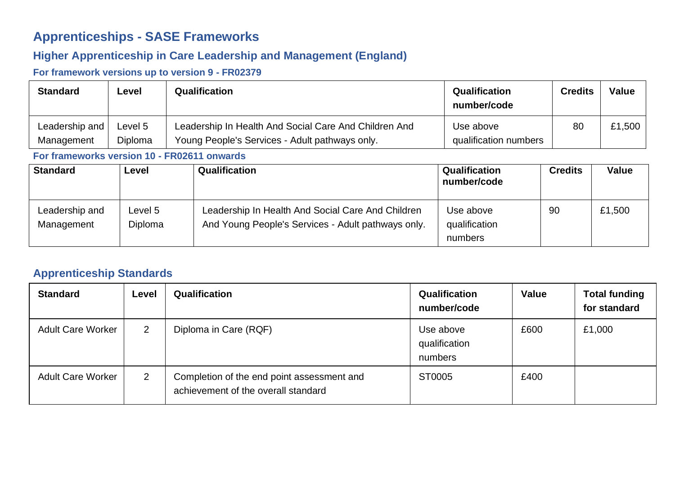## **Apprenticeships - SASE Frameworks**

#### **Higher Apprenticeship in Care Leadership and Management (England)**

#### **For framework versions up to version 9 - FR02379**

| <b>Standard</b> | Level   | Qualification                                         | <b>Qualification</b><br>number/code | <b>Credits</b> | <b>Value</b> |
|-----------------|---------|-------------------------------------------------------|-------------------------------------|----------------|--------------|
| Leadership and  | ∟evel 5 | Leadership In Health And Social Care And Children And | Use above                           | 80             | £1,500       |
| Management      | Diploma | Young People's Services - Adult pathways only.        | qualification numbers               |                |              |

#### **For frameworks version 10 - FR02611 onwards**

| <b>Standard</b>              | Level              | <b>Qualification</b>                                                                                    | Qualification<br>number/code          | <b>Credits</b> | Value  |
|------------------------------|--------------------|---------------------------------------------------------------------------------------------------------|---------------------------------------|----------------|--------|
| Leadership and<br>Management | Level 5<br>Diploma | Leadership In Health And Social Care And Children<br>And Young People's Services - Adult pathways only. | Use above<br>qualification<br>numbers | 90             | £1,500 |

#### **Apprenticeship Standards**

| <b>Standard</b>          | Level          | <b>Qualification</b>                                                              | Qualification<br>number/code          | <b>Value</b> | <b>Total funding</b><br>for standard |
|--------------------------|----------------|-----------------------------------------------------------------------------------|---------------------------------------|--------------|--------------------------------------|
| <b>Adult Care Worker</b> | $\overline{2}$ | Diploma in Care (RQF)                                                             | Use above<br>qualification<br>numbers | £600         | £1,000                               |
| <b>Adult Care Worker</b> | $\overline{2}$ | Completion of the end point assessment and<br>achievement of the overall standard | ST0005                                | £400         |                                      |